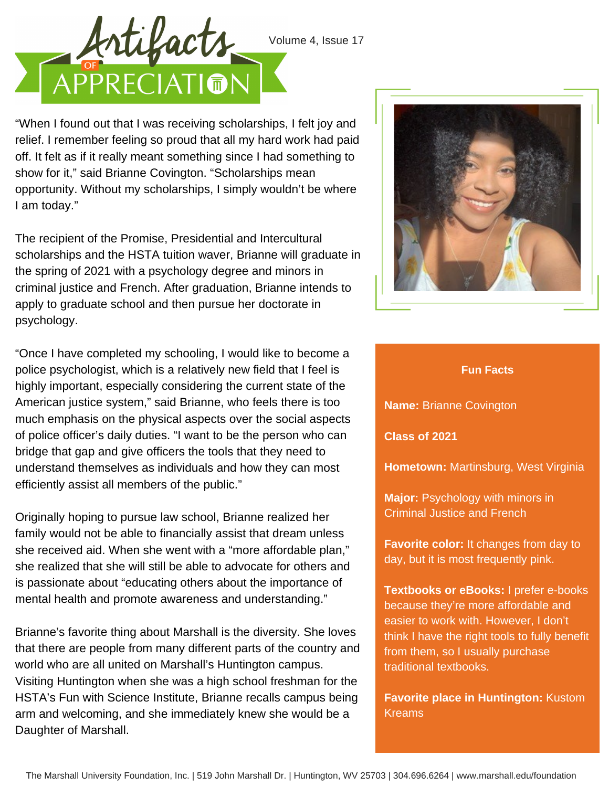

"When I found out that I was receiving scholarships, I felt joy and relief. I remember feeling so proud that all my hard work had paid off. It felt as if it really meant something since I had something to show for it," said Brianne Covington. "Scholarships mean opportunity. Without my scholarships, I simply wouldn't be where I am today."

The recipient of the Promise, Presidential and Intercultural scholarships and the HSTA tuition waver, Brianne will graduate in the spring of 2021 with a psychology degree and minors in criminal justice and French. After graduation, Brianne intends to apply to graduate school and then pursue her doctorate in psychology.

"Once I have completed my schooling, I would like to become a police psychologist, which is a relatively new field that I feel is highly important, especially considering the current state of the American justice system," said Brianne, who feels there is too much emphasis on the physical aspects over the social aspects of police officer's daily duties. "I want to be the person who can bridge that gap and give officers the tools that they need to understand themselves as individuals and how they can most efficiently assist all members of the public."

Originally hoping to pursue law school, Brianne realized her family would not be able to financially assist that dream unless she received aid. When she went with a "more affordable plan," she realized that she will still be able to advocate for others and is passionate about "educating others about the importance of mental health and promote awareness and understanding."

Brianne's favorite thing about Marshall is the diversity. She loves that there are people from many different parts of the country and world who are all united on Marshall's Huntington campus. Visiting Huntington when she was a high school freshman for the HSTA's Fun with Science Institute, Brianne recalls campus being arm and welcoming, and she immediately knew she would be a Daughter of Marshall.



## **Fun Facts**

**Name:** Brianne Covington

**Class of 2021**

**Hometown:** Martinsburg, West Virginia

**Major:** Psychology with minors in Criminal Justice and French

**Favorite color:** It changes from day to day, but it is most frequently pink.

**Textbooks or eBooks:** I prefer e-books because they're more affordable and easier to work with. However, I don't think I have the right tools to fully benefit from them, so I usually purchase traditional textbooks.

**Favorite place in Huntington:** Kustom Kreams